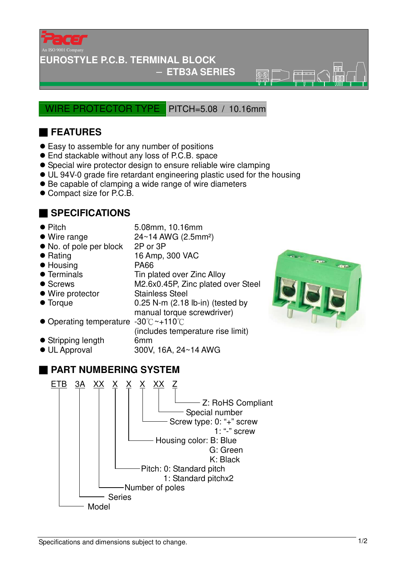

#### **EUROSTYLE P.C.B. TERMINAL BLOCK**

#### − **ETB3A SERIES**

 $\overline{\mathbb{R}}\overline{\mathbb{R}}$ 

#### WIRE PROTECTOR TYPE PITCH=5.08 / 10.16mm

## ■ **FEATURES**

- Easy to assemble for any number of positions
- End stackable without any loss of P.C.B. space
- Special wire protector design to ensure reliable wire clamping
- UL 94V-0 grade fire retardant engineering plastic used for the housing
- Be capable of clamping a wide range of wire diameters
- Compact size for P.C.B.

#### ■ **SPECIFICATIONS**

- Pitch 5.08mm, 10.16mm
- $\bullet$  Wire range  $24 \sim 14$  AWG (2.5mm<sup>2</sup>)
- No. of pole per block 2P or 3P
- Rating 16 Amp, 300 VAC
- Housing PA66
- Terminals Tin plated over Zinc Alloy
- Screws M2.6x0.45P, Zinc plated over Steel
- Wire protector Stainless Steel
- Torque 0.25 N-m (2.18 lb-in) (tested by
	- manual torque screwdriver)
- Operating temperature -30°C ~+110°C (includes temperature rise limit)
- Stripping length 6mm
- UL Approval 300V, 16A, 24~14 AWG

## ■ **PART NUMBERING SYSTEM**